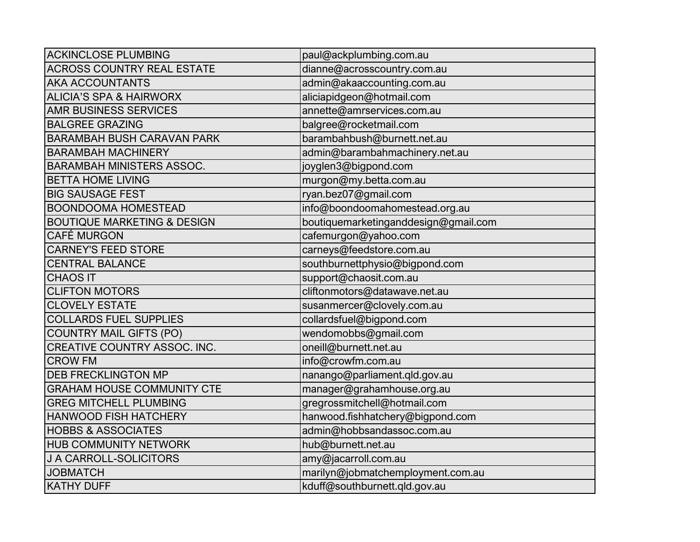| <b>ACKINCLOSE PLUMBING</b>             | paul@ackplumbing.com.au              |
|----------------------------------------|--------------------------------------|
| <b>ACROSS COUNTRY REAL ESTATE</b>      | dianne@acrosscountry.com.au          |
| <b>AKA ACCOUNTANTS</b>                 | admin@akaaccounting.com.au           |
| <b>ALICIA'S SPA &amp; HAIRWORX</b>     | aliciapidgeon@hotmail.com            |
| <b>AMR BUSINESS SERVICES</b>           | annette@amrservices.com.au           |
| <b>BALGREE GRAZING</b>                 | balgree@rocketmail.com               |
| <b>BARAMBAH BUSH CARAVAN PARK</b>      | barambahbush@burnett.net.au          |
| <b>BARAMBAH MACHINERY</b>              | admin@barambahmachinery.net.au       |
| <b>BARAMBAH MINISTERS ASSOC.</b>       | joyglen3@bigpond.com                 |
| <b>BETTA HOME LIVING</b>               | murgon@my.betta.com.au               |
| <b>BIG SAUSAGE FEST</b>                | ryan.bez07@gmail.com                 |
| <b>BOONDOOMA HOMESTEAD</b>             | info@boondoomahomestead.org.au       |
| <b>BOUTIQUE MARKETING &amp; DESIGN</b> | boutiquemarketinganddesign@gmail.com |
| <b>CAFÉ MURGON</b>                     | cafemurgon@yahoo.com                 |
| <b>CARNEY'S FEED STORE</b>             | carneys@feedstore.com.au             |
| <b>CENTRAL BALANCE</b>                 | southburnettphysio@bigpond.com       |
| <b>CHAOS IT</b>                        | support@chaosit.com.au               |
| <b>CLIFTON MOTORS</b>                  | cliftonmotors@datawave.net.au        |
| <b>CLOVELY ESTATE</b>                  | susanmercer@clovely.com.au           |
| <b>COLLARDS FUEL SUPPLIES</b>          | collardsfuel@bigpond.com             |
| <b>COUNTRY MAIL GIFTS (PO)</b>         | wendomobbs@gmail.com                 |
| <b>CREATIVE COUNTRY ASSOC. INC.</b>    | oneill@burnett.net.au                |
| <b>CROW FM</b>                         | info@crowfm.com.au                   |
| <b>DEB FRECKLINGTON MP</b>             | nanango@parliament.qld.gov.au        |
| <b>GRAHAM HOUSE COMMUNITY CTE</b>      | manager@grahamhouse.org.au           |
| <b>GREG MITCHELL PLUMBING</b>          | gregrossmitchell@hotmail.com         |
| <b>HANWOOD FISH HATCHERY</b>           | hanwood.fishhatchery@bigpond.com     |
| <b>HOBBS &amp; ASSOCIATES</b>          | admin@hobbsandassoc.com.au           |
| <b>HUB COMMUNITY NETWORK</b>           | hub@burnett.net.au                   |
| J A CARROLL-SOLICITORS                 | amy@jacarroll.com.au                 |
| <b>JOBMATCH</b>                        | marilyn@jobmatchemployment.com.au    |
| <b>KATHY DUFF</b>                      | kduff@southburnett.qld.gov.au        |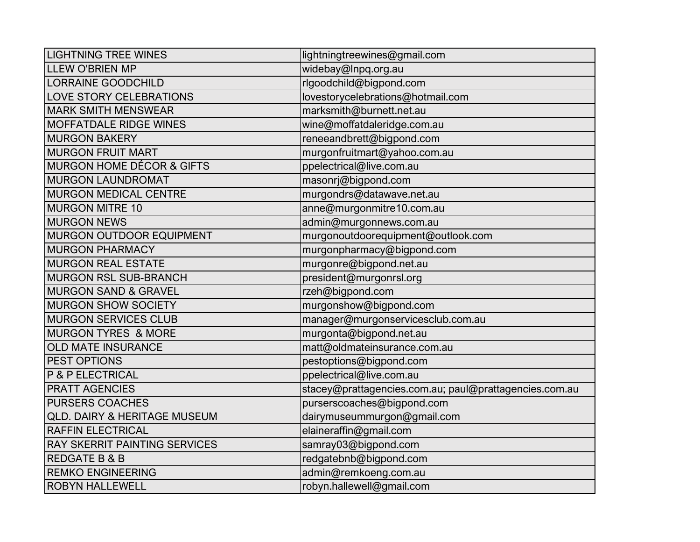| <b>LIGHTNING TREE WINES</b>             | lightningtreewines@gmail.com                           |
|-----------------------------------------|--------------------------------------------------------|
| <b>LLEW O'BRIEN MP</b>                  | widebay@Inpq.org.au                                    |
| <b>LORRAINE GOODCHILD</b>               | rlgoodchild@bigpond.com                                |
| <b>LOVE STORY CELEBRATIONS</b>          | lovestorycelebrations@hotmail.com                      |
| <b>MARK SMITH MENSWEAR</b>              | marksmith@burnett.net.au                               |
| <b>MOFFATDALE RIDGE WINES</b>           | wine@moffatdaleridge.com.au                            |
| <b>MURGON BAKERY</b>                    | reneeandbrett@bigpond.com                              |
| <b>MURGON FRUIT MART</b>                | murgonfruitmart@yahoo.com.au                           |
| <b>MURGON HOME DÉCOR &amp; GIFTS</b>    | ppelectrical@live.com.au                               |
| <b>MURGON LAUNDROMAT</b>                | masonrj@bigpond.com                                    |
| <b>MURGON MEDICAL CENTRE</b>            | murgondrs@datawave.net.au                              |
| <b>MURGON MITRE 10</b>                  | anne@murgonmitre10.com.au                              |
| <b>MURGON NEWS</b>                      | admin@murgonnews.com.au                                |
| <b>MURGON OUTDOOR EQUIPMENT</b>         | murgonoutdoorequipment@outlook.com                     |
| <b>MURGON PHARMACY</b>                  | murgonpharmacy@bigpond.com                             |
| <b>MURGON REAL ESTATE</b>               | murgonre@bigpond.net.au                                |
| <b>MURGON RSL SUB-BRANCH</b>            | president@murgonrsl.org                                |
| <b>MURGON SAND &amp; GRAVEL</b>         | rzeh@bigpond.com                                       |
| <b>MURGON SHOW SOCIETY</b>              | murgonshow@bigpond.com                                 |
| <b>MURGON SERVICES CLUB</b>             | manager@murgonservicesclub.com.au                      |
| <b>MURGON TYRES &amp; MORE</b>          | murgonta@bigpond.net.au                                |
| <b>OLD MATE INSURANCE</b>               | matt@oldmateinsurance.com.au                           |
| <b>PEST OPTIONS</b>                     | pestoptions@bigpond.com                                |
| P & P ELECTRICAL                        | ppelectrical@live.com.au                               |
| <b>PRATT AGENCIES</b>                   | stacey@prattagencies.com.au; paul@prattagencies.com.au |
| <b>PURSERS COACHES</b>                  | purserscoaches@bigpond.com                             |
| <b>QLD. DAIRY &amp; HERITAGE MUSEUM</b> | dairymuseummurgon@gmail.com                            |
| <b>RAFFIN ELECTRICAL</b>                | elaineraffin@gmail.com                                 |
| <b>RAY SKERRIT PAINTING SERVICES</b>    | samray03@bigpond.com                                   |
| <b>REDGATE B &amp; B</b>                | redgatebnb@bigpond.com                                 |
| <b>REMKO ENGINEERING</b>                | admin@remkoeng.com.au                                  |
| <b>ROBYN HALLEWELL</b>                  | robyn.hallewell@gmail.com                              |